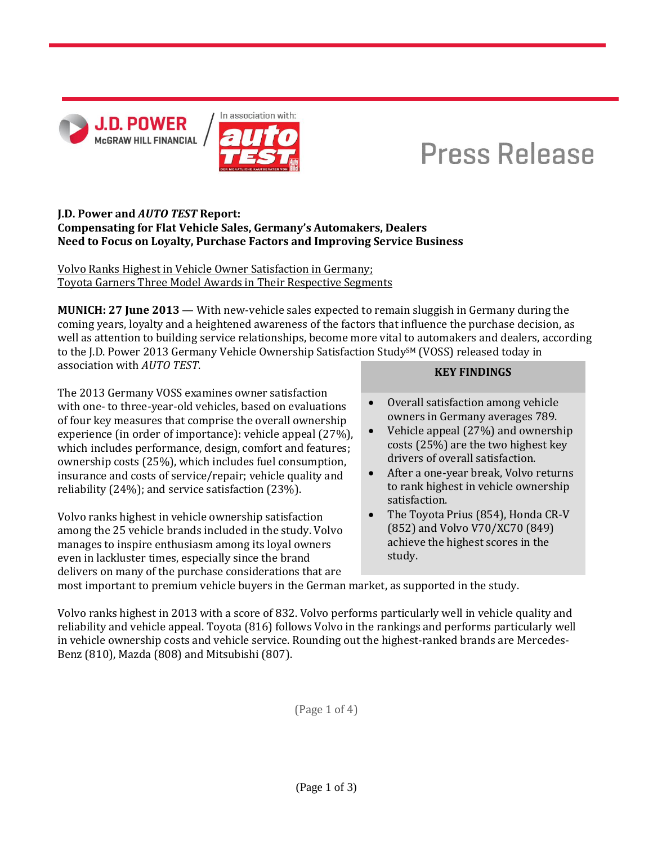



# **Press Release**

## **J.D. Power and** *AUTO TEST* **Report: Compensating for Flat Vehicle Sales, Germany's Automakers, Dealers Need to Focus on Loyalty, Purchase Factors and Improving Service Business**

Volvo Ranks Highest in Vehicle Owner Satisfaction in Germany; Toyota Garners Three Model Awards in Their Respective Segments

**MUNICH: 27 June 2013** — With new-vehicle sales expected to remain sluggish in Germany during the coming years, loyalty and a heightened awareness of the factors that influence the purchase decision, as well as attention to building service relationships, become more vital to automakers and dealers, according to the J.D. Power 2013 Germany Vehicle Ownership Satisfaction Study<sup>SM</sup> (VOSS) released today in association with *AUTO TEST*.

The 2013 Germany VOSS examines owner satisfaction with one- to three-year-old vehicles, based on evaluations of four key measures that comprise the overall ownership experience (in order of importance): vehicle appeal (27%), which includes performance, design, comfort and features; ownership costs (25%), which includes fuel consumption, insurance and costs of service/repair; vehicle quality and reliability (24%); and service satisfaction (23%).

Volvo ranks highest in vehicle ownership satisfaction among the 25 vehicle brands included in the study. Volvo manages to inspire enthusiasm among its loyal owners even in lackluster times, especially since the brand delivers on many of the purchase considerations that are

- **KEY FINDINGS**
- Overall satisfaction among vehicle owners in Germany averages 789.
- Vehicle appeal (27%) and ownership costs (25%) are the two highest key drivers of overall satisfaction.
- After a one-year break, Volvo returns to rank highest in vehicle ownership satisfaction.
- The Toyota Prius (854), Honda CR-V (852) and Volvo V70/XC70 (849) achieve the highest scores in the study.

most important to premium vehicle buyers in the German market, as supported in the study.

Volvo ranks highest in 2013 with a score of 832. Volvo performs particularly well in vehicle quality and reliability and vehicle appeal. Toyota (816) follows Volvo in the rankings and performs particularly well in vehicle ownership costs and vehicle service. Rounding out the highest-ranked brands are Mercedes-Benz (810), Mazda (808) and Mitsubishi (807).

(Page 1 of 4)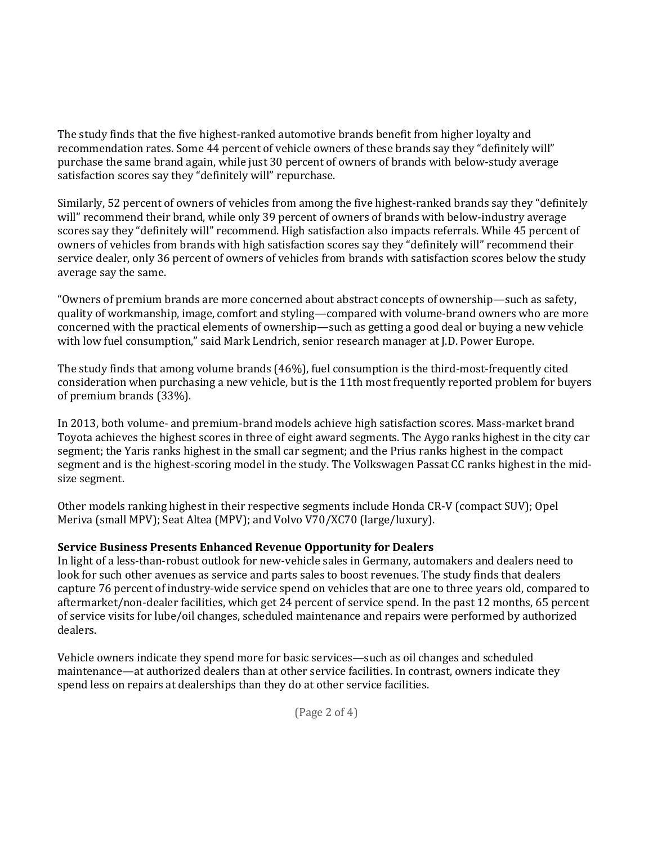The study finds that the five highest-ranked automotive brands benefit from higher loyalty and recommendation rates. Some 44 percent of vehicle owners of these brands say they "definitely will" purchase the same brand again, while just 30 percent of owners of brands with below-study average satisfaction scores say they "definitely will" repurchase.

Similarly, 52 percent of owners of vehicles from among the five highest-ranked brands say they "definitely will" recommend their brand, while only 39 percent of owners of brands with below-industry average scores say they "definitely will" recommend. High satisfaction also impacts referrals. While 45 percent of owners of vehicles from brands with high satisfaction scores say they "definitely will" recommend their service dealer, only 36 percent of owners of vehicles from brands with satisfaction scores below the study average say the same.

"Owners of premium brands are more concerned about abstract concepts of ownership—such as safety, quality of workmanship, image, comfort and styling—compared with volume-brand owners who are more concerned with the practical elements of ownership—such as getting a good deal or buying a new vehicle with low fuel consumption," said Mark Lendrich, senior research manager at J.D. Power Europe.

The study finds that among volume brands (46%), fuel consumption is the third-most-frequently cited consideration when purchasing a new vehicle, but is the 11th most frequently reported problem for buyers of premium brands (33%).

In 2013, both volume- and premium-brand models achieve high satisfaction scores. Mass-market brand Toyota achieves the highest scores in three of eight award segments. The Aygo ranks highest in the city car segment; the Yaris ranks highest in the small car segment; and the Prius ranks highest in the compact segment and is the highest-scoring model in the study. The Volkswagen Passat CC ranks highest in the midsize segment.

Other models ranking highest in their respective segments include Honda CR-V (compact SUV); Opel Meriva (small MPV); Seat Altea (MPV); and Volvo V70/XC70 (large/luxury).

#### **Service Business Presents Enhanced Revenue Opportunity for Dealers**

In light of a less-than-robust outlook for new-vehicle sales in Germany, automakers and dealers need to look for such other avenues as service and parts sales to boost revenues. The study finds that dealers capture 76 percent of industry-wide service spend on vehicles that are one to three years old, compared to aftermarket/non-dealer facilities, which get 24 percent of service spend. In the past 12 months, 65 percent of service visits for lube/oil changes, scheduled maintenance and repairs were performed by authorized dealers.

Vehicle owners indicate they spend more for basic services—such as oil changes and scheduled maintenance—at authorized dealers than at other service facilities. In contrast, owners indicate they spend less on repairs at dealerships than they do at other service facilities.

(Page 2 of 4)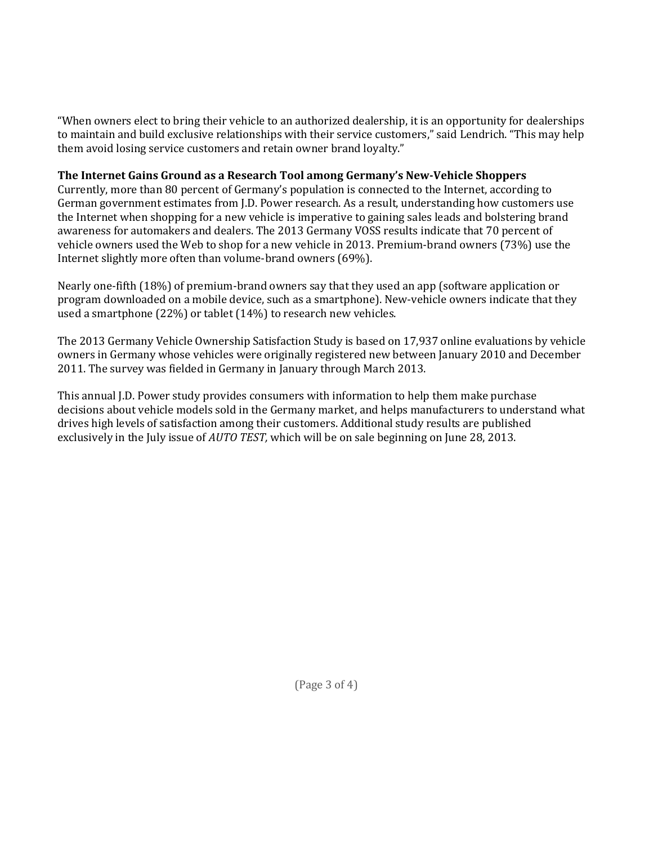"When owners elect to bring their vehicle to an authorized dealership, it is an opportunity for dealerships to maintain and build exclusive relationships with their service customers," said Lendrich. "This may help them avoid losing service customers and retain owner brand loyalty."

## **The Internet Gains Ground as a Research Tool among Germany's New-Vehicle Shoppers**

Currently, more than 80 percent of Germany's population is connected to the Internet, according to German government estimates from J.D. Power research. As a result, understanding how customers use the Internet when shopping for a new vehicle is imperative to gaining sales leads and bolstering brand awareness for automakers and dealers. The 2013 Germany VOSS results indicate that 70 percent of vehicle owners used the Web to shop for a new vehicle in 2013. Premium-brand owners (73%) use the Internet slightly more often than volume-brand owners (69%).

Nearly one-fifth (18%) of premium-brand owners say that they used an app (software application or program downloaded on a mobile device, such as a smartphone). New-vehicle owners indicate that they used a smartphone (22%) or tablet (14%) to research new vehicles.

The 2013 Germany Vehicle Ownership Satisfaction Study is based on 17,937 online evaluations by vehicle owners in Germany whose vehicles were originally registered new between January 2010 and December 2011. The survey was fielded in Germany in January through March 2013.

This annual J.D. Power study provides consumers with information to help them make purchase decisions about vehicle models sold in the Germany market, and helps manufacturers to understand what drives high levels of satisfaction among their customers. Additional study results are published exclusively in the July issue of *AUTO TEST,* which will be on sale beginning on June 28, 2013.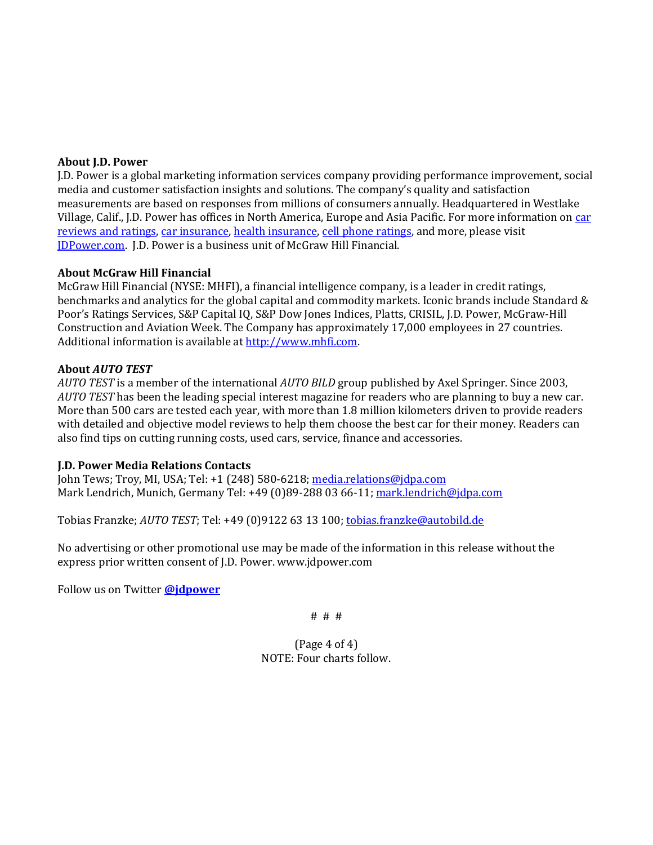#### **About J.D. Power**

J.D. Power is a global marketing information services company providing performance improvement, social media and customer satisfaction insights and solutions. The company's quality and satisfaction measurements are based on responses from millions of consumers annually. Headquartered in Westlake Village, Calif., J.D. Power has offices in North America, Europe and Asia Pacific. For more information o[n car](http://www.jdpower.com/autos)  [reviews and ratings,](http://www.jdpower.com/autos) [car insurance,](http://www.jdpower.com/insurance) [health insurance,](http://www.jdpower.com/healthcare) [cell phone ratings,](http://www.jdpower.com/telecom) and more, please visit [JDPower.com.](http://www.jdpower.com/) J.D. Power is a business unit of McGraw Hill Financial.

#### **About McGraw Hill Financial**

McGraw Hill Financial (NYSE: MHFI), a financial intelligence company, is a leader in credit ratings, benchmarks and analytics for the global capital and commodity markets. Iconic brands include Standard & Poor's Ratings Services, S&P Capital IQ, S&P Dow Jones Indices, Platts, CRISIL, J.D. Power, McGraw-Hill Construction and Aviation Week. The Company has approximately 17,000 employees in 27 countries. Additional information is available a[t http://www.mhfi.com.](http://www.mhfi.com/) 

#### **About** *AUTO TEST*

*AUTO TEST* is a member of the international *AUTO BILD* group published by Axel Springer. Since 2003, *AUTO TEST* has been the leading special interest magazine for readers who are planning to buy a new car. More than 500 cars are tested each year, with more than 1.8 million kilometers driven to provide readers with detailed and objective model reviews to help them choose the best car for their money. Readers can also find tips on cutting running costs, used cars, service, finance and accessories.

#### **J.D. Power Media Relations Contacts**

John Tews; Troy, MI, USA; Tel: +1 (248) 580-6218; [media.relations@jdpa.com](mailto:media.relations@jdpa.com) Mark Lendrich, Munich, Germany Tel: +49 (0)89-288 03 66-11[; mark.lendrich@jdpa.com](mailto:mark.lendrich@jdpa.com)

Tobias Franzke; *AUTO TEST*; Tel: +49 (0)9122 63 13 100; [tobias.franzke@autobild.de](mailto:tobias.franzke@autobild.de)

No advertising or other promotional use may be made of the information in this release without the express prior written consent of J.D. Power. www.jdpower.com

Follow us on Twitter **[@jdpower](https://twitter.com/#!/JDPower)**

# # #

(Page 4 of 4) NOTE: Four charts follow.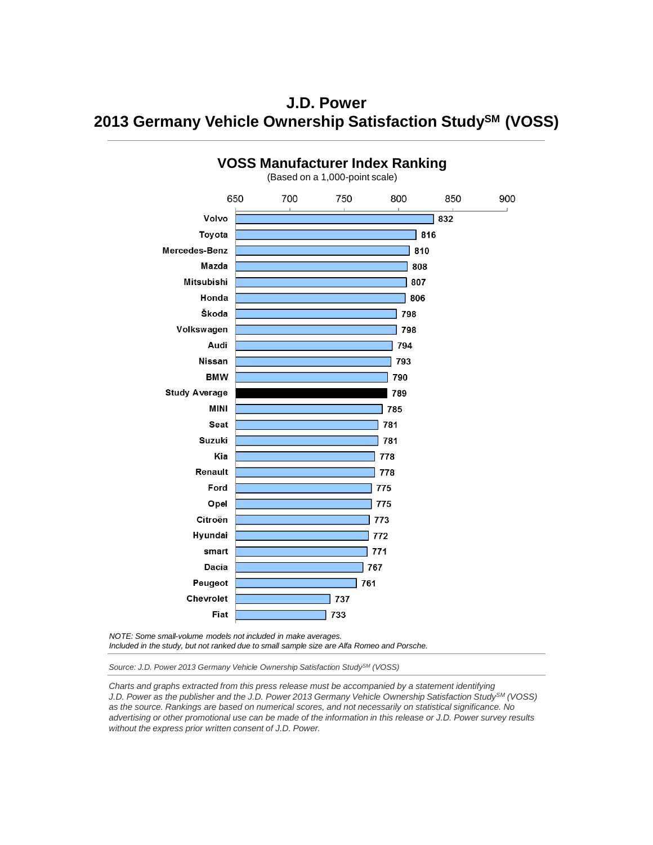**J.D. Power 2013 Germany Vehicle Ownership Satisfaction StudySM (VOSS)**



*NOTE: Some small-volume models not included in make averages.*

*Included in the study, but not ranked due to small sample size are Alfa Romeo and Porsche.*

*Source: J.D. Power 2013 Germany Vehicle Ownership Satisfaction StudySM (VOSS)*

*Charts and graphs extracted from this press release must be accompanied by a statement identifying J.D. Power as the publisher and the J.D. Power 2013 Germany Vehicle Ownership Satisfaction StudySM (VOSS) as the source. Rankings are based on numerical scores, and not necessarily on statistical significance. No advertising or other promotional use can be made of the information in this release or J.D. Power survey results without the express prior written consent of J.D. Power.*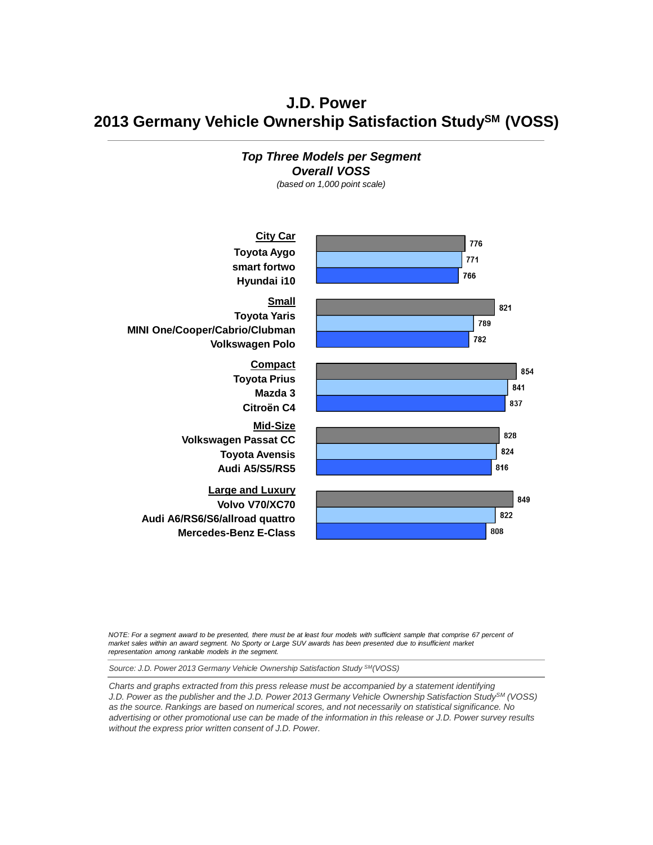**J.D. Power 2013 Germany Vehicle Ownership Satisfaction StudySM (VOSS)**



*NOTE: For a segment award to be presented, there must be at least four models with sufficient sample that comprise 67 percent of market sales within an award segment. No Sporty or Large SUV awards has been presented due to insufficient market representation among rankable models in the segment.*

*Source: J.D. Power 2013 Germany Vehicle Ownership Satisfaction Study SM(VOSS)*

*Charts and graphs extracted from this press release must be accompanied by a statement identifying J.D. Power as the publisher and the J.D. Power 2013 Germany Vehicle Ownership Satisfaction StudySM (VOSS) as the source. Rankings are based on numerical scores, and not necessarily on statistical significance. No advertising or other promotional use can be made of the information in this release or J.D. Power survey results without the express prior written consent of J.D. Power.*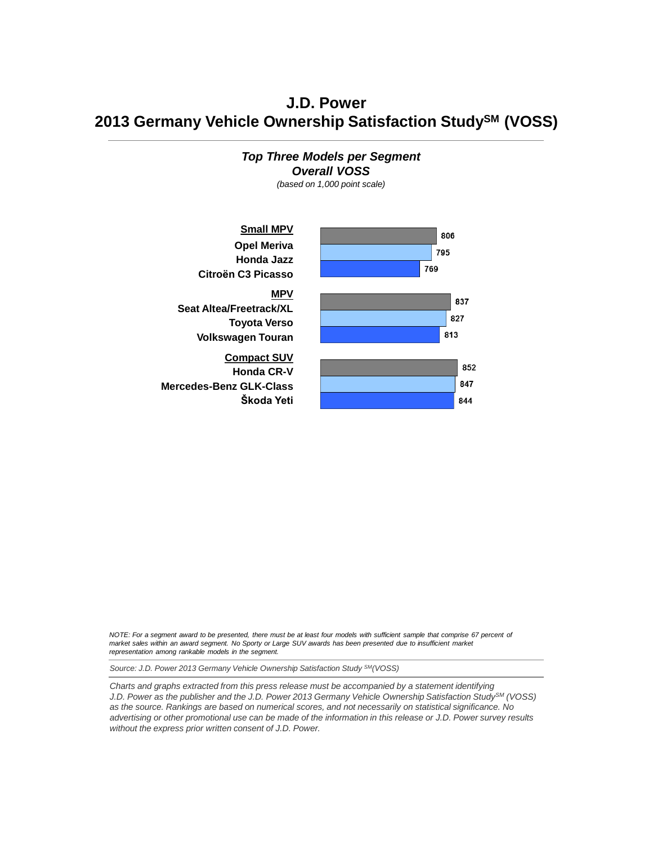**J.D. Power 2013 Germany Vehicle Ownership Satisfaction StudySM (VOSS)**





*NOTE: For a segment award to be presented, there must be at least four models with sufficient sample that comprise 67 percent of market sales within an award segment. No Sporty or Large SUV awards has been presented due to insufficient market representation among rankable models in the segment.*

*Source: J.D. Power 2013 Germany Vehicle Ownership Satisfaction Study SM(VOSS)*

*Charts and graphs extracted from this press release must be accompanied by a statement identifying J.D. Power as the publisher and the J.D. Power 2013 Germany Vehicle Ownership Satisfaction StudySM (VOSS) as the source. Rankings are based on numerical scores, and not necessarily on statistical significance. No advertising or other promotional use can be made of the information in this release or J.D. Power survey results without the express prior written consent of J.D. Power.*